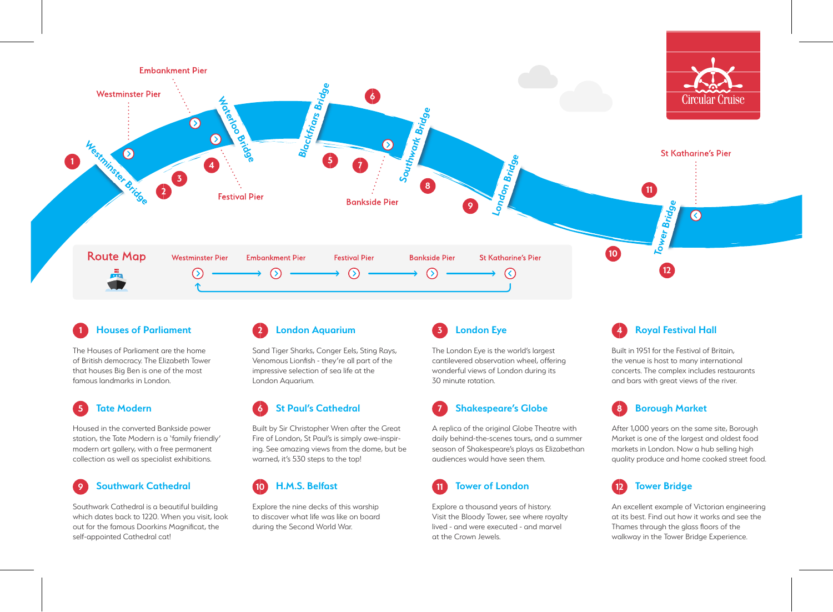

#### **Houses of Parliament 1 2 3 London Eye**

The Houses of Parliament are the home of British democracy. The Elizabeth Tower that houses Big Ben is one of the most famous landmarks in London.

# **5 Tate Modern**

Housed in the converted Bankside power station, the Tate Modern is a 'family friendly' modern art gallery, with a free permanent collection as well as specialist exhibitions.



Southwark Cathedral is a beautiful building which dates back to 1220. When you visit, look out for the famous Doorkins Magnificat, the self-appointed Cathedral cat!

#### **London Aquarium**

Sand Tiger Sharks, Conger Eels, Sting Rays, Venomous Lionfish - they're all part of the impressive selection of sea life at the London Aquarium.

# **6 St Paul's Cathedral**

Built by Sir Christopher Wren after the Great Fire of London, St Paul's is simply awe-inspiring. See amazing views from the dome, but be warned, it's 530 steps to the top!

## **10 H.M.S. Belfast**

Explore the nine decks of this warship to discover what life was like on board during the Second World War.

The London Eye is the world's largest cantilevered observation wheel, offering wonderful views of London during its 30 minute rotation.

## **7 Shakespeare's Globe**

A replica of the original Globe Theatre with daily behind-the-scenes tours, and a summer season of Shakespeare's plays as Elizabethan audiences would have seen them.

# **11 Tower of London**

Explore a thousand years of history. Visit the Bloody Tower, see where royalty lived - and were executed - and marvel at the Crown Jewels.

#### **4 Royal Festival Hall**

Built in 1951 for the Festival of Britain, the venue is host to many international concerts. The complex includes restaurants and bars with great views of the river.

#### **8 Borough Market**

After 1,000 years on the same site, Borough Market is one of the largest and oldest food markets in London. Now a hub selling high quality produce and home cooked street food.



An excellent example of Victorian engineering at its best. Find out how it works and see the Thames through the glass floors of the walkway in the Tower Bridge Experience.